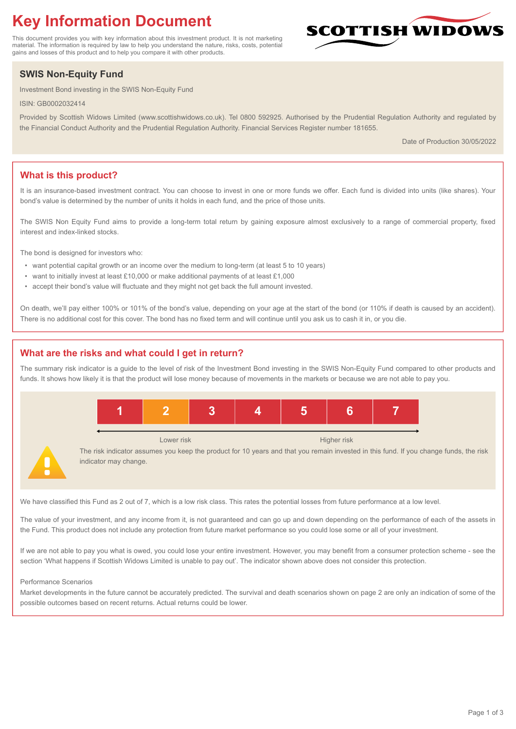# **Key Information Document**

This document provides you with key information about this investment product. It is not marketing material. The information is required by law to help you understand the nature, risks, costs, potential gains and losses of this product and to help you compare it with other products.

## **SWIS Non-Equity Fund**

Investment Bond investing in the SWIS Non-Equity Fund

ISIN: GB0002032414

Provided by Scottish Widows Limited (www.scottishwidows.co.uk). Tel 0800 592925. Authorised by the Prudential Regulation Authority and regulated by the Financial Conduct Authority and the Prudential Regulation Authority. Financial Services Register number 181655.

Date of Production 30/05/2022

**SCOTTISH WIDOW** 

## **What is this product?**

It is an insurance-based investment contract. You can choose to invest in one or more funds we offer. Each fund is divided into units (like shares). Your bond's value is determined by the number of units it holds in each fund, and the price of those units.

The SWIS Non Equity Fund aims to provide a long-term total return by gaining exposure almost exclusively to a range of commercial property, fixed interest and index-linked stocks.

The bond is designed for investors who:

- want potential capital growth or an income over the medium to long-term (at least 5 to 10 years)
- want to initially invest at least £10,000 or make additional payments of at least £1,000
- accept their bond's value will fluctuate and they might not get back the full amount invested.

On death, we'll pay either 100% or 101% of the bond's value, depending on your age at the start of the bond (or 110% if death is caused by an accident). There is no additional cost for this cover. The bond has no fixed term and will continue until you ask us to cash it in, or you die.

## **What are the risks and what could I get in return?**

The summary risk indicator is a guide to the level of risk of the Investment Bond investing in the SWIS Non-Equity Fund compared to other products and funds. It shows how likely it is that the product will lose money because of movements in the markets or because we are not able to pay you.



We have classified this Fund as 2 out of 7, which is a low risk class. This rates the potential losses from future performance at a low level.

The value of your investment, and any income from it, is not guaranteed and can go up and down depending on the performance of each of the assets in the Fund. This product does not include any protection from future market performance so you could lose some or all of your investment.

If we are not able to pay you what is owed, you could lose your entire investment. However, you may benefit from a consumer protection scheme - see the section 'What happens if Scottish Widows Limited is unable to pay out'. The indicator shown above does not consider this protection.

#### Performance Scenarios

Market developments in the future cannot be accurately predicted. The survival and death scenarios shown on page 2 are only an indication of some of the possible outcomes based on recent returns. Actual returns could be lower.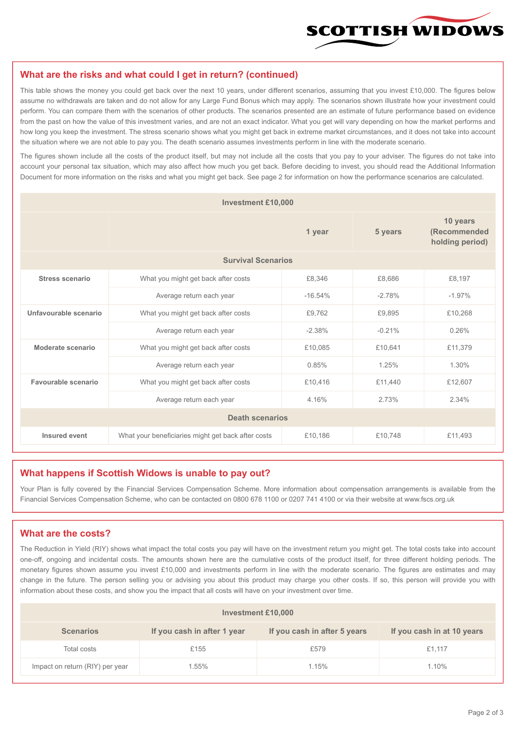

#### **What are the risks and what could I get in return? (continued)**

This table shows the money you could get back over the next 10 years, under different scenarios, assuming that you invest £10,000. The figures below assume no withdrawals are taken and do not allow for any Large Fund Bonus which may apply. The scenarios shown illustrate how your investment could perform. You can compare them with the scenarios of other products. The scenarios presented are an estimate of future performance based on evidence from the past on how the value of this investment varies, and are not an exact indicator. What you get will vary depending on how the market performs and how long you keep the investment. The stress scenario shows what you might get back in extreme market circumstances, and it does not take into account the situation where we are not able to pay you. The death scenario assumes investments perform in line with the moderate scenario.

The figures shown include all the costs of the product itself, but may not include all the costs that you pay to your adviser. The figures do not take into account your personal tax situation, which may also affect how much you get back. Before deciding to invest, you should read the Additional Information Document for more information on the risks and what you might get back. See page 2 for information on how the performance scenarios are calculated.

| <b>Investment £10,000</b> |                                                    |           |          |                                             |  |  |
|---------------------------|----------------------------------------------------|-----------|----------|---------------------------------------------|--|--|
|                           | 1 year                                             |           | 5 years  | 10 years<br>(Recommended<br>holding period) |  |  |
| <b>Survival Scenarios</b> |                                                    |           |          |                                             |  |  |
| <b>Stress scenario</b>    | What you might get back after costs                | £8,346    | £8,686   | £8,197                                      |  |  |
|                           | Average return each year                           | $-16.54%$ | $-2.78%$ | $-1.97%$                                    |  |  |
| Unfavourable scenario     | What you might get back after costs                | £9,762    | £9,895   | £10,268                                     |  |  |
|                           | Average return each year                           | $-2.38%$  | $-0.21%$ | 0.26%                                       |  |  |
| Moderate scenario         | What you might get back after costs                | £10,085   | £10,641  | £11.379                                     |  |  |
|                           | Average return each year                           | 0.85%     | 1.25%    | 1.30%                                       |  |  |
| Favourable scenario       | What you might get back after costs                | £10,416   | £11,440  | £12,607                                     |  |  |
| Average return each year  |                                                    | 4.16%     | 2.73%    | 2.34%                                       |  |  |
| <b>Death scenarios</b>    |                                                    |           |          |                                             |  |  |
| Insured event             | What your beneficiaries might get back after costs | £10,186   | £10,748  | £11,493                                     |  |  |

#### **What happens if Scottish Widows is unable to pay out?**

Your Plan is fully covered by the Financial Services Compensation Scheme. More information about compensation arrangements is available from the Financial Services Compensation Scheme, who can be contacted on 0800 678 1100 or 0207 741 4100 or via their website at www.fscs.org.uk

## **What are the costs?**

The Reduction in Yield (RIY) shows what impact the total costs you pay will have on the investment return you might get. The total costs take into account one-off, ongoing and incidental costs. The amounts shown here are the cumulative costs of the product itself, for three different holding periods. The monetary figures shown assume you invest £10,000 and investments perform in line with the moderate scenario. The figures are estimates and may change in the future. The person selling you or advising you about this product may charge you other costs. If so, this person will provide you with information about these costs, and show you the impact that all costs will have on your investment over time.

| <b>Investment £10,000</b>       |                             |                              |                            |  |  |  |
|---------------------------------|-----------------------------|------------------------------|----------------------------|--|--|--|
| <b>Scenarios</b>                | If you cash in after 1 year | If you cash in after 5 years | If you cash in at 10 years |  |  |  |
| Total costs                     | £155                        | £579                         | £1,117                     |  |  |  |
| Impact on return (RIY) per year | .55%                        | 1.15%                        | 1.10%                      |  |  |  |